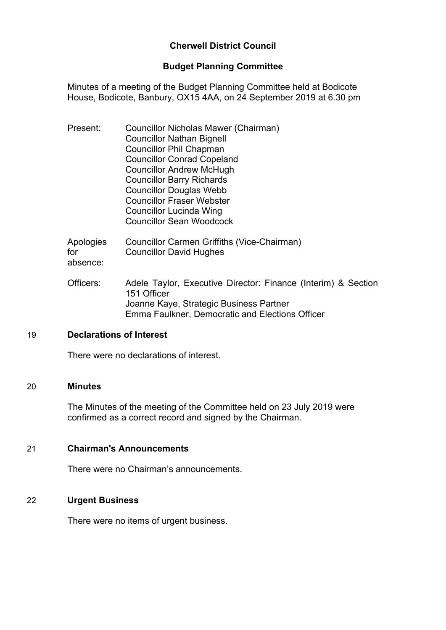## **Cherwell District Council**

#### **Budget Planning Committee**

Minutes of a meeting of the Budget Planning Committee held at Bodicote House, Bodicote, Banbury, OX15 4AA, on 24 September 2019 at 6.30 pm

| Present:                     | Councillor Nicholas Mawer (Chairman)<br><b>Councillor Nathan Bignell</b><br><b>Councillor Phil Chapman</b><br><b>Councillor Conrad Copeland</b><br><b>Councillor Andrew McHugh</b><br><b>Councillor Barry Richards</b><br><b>Councillor Douglas Webb</b><br><b>Councillor Fraser Webster</b><br>Councillor Lucinda Wing<br><b>Councillor Sean Woodcock</b> |
|------------------------------|------------------------------------------------------------------------------------------------------------------------------------------------------------------------------------------------------------------------------------------------------------------------------------------------------------------------------------------------------------|
| Apologies<br>for<br>absence: | Councillor Carmen Griffiths (Vice-Chairman)<br><b>Councillor David Hughes</b>                                                                                                                                                                                                                                                                              |
| Officers:                    | Adele Taylor, Executive Director: Finance (Interim) & Section<br>151 Officer<br>Joanne Kaye, Strategic Business Partner                                                                                                                                                                                                                                    |

#### 19 **Declarations of Interest**

There were no declarations of interest.

#### 20 **Minutes**

The Minutes of the meeting of the Committee held on 23 July 2019 were confirmed as a correct record and signed by the Chairman.

Emma Faulkner, Democratic and Elections Officer

#### 21 **Chairman's Announcements**

There were no Chairman's announcements.

#### 22 **Urgent Business**

There were no items of urgent business.